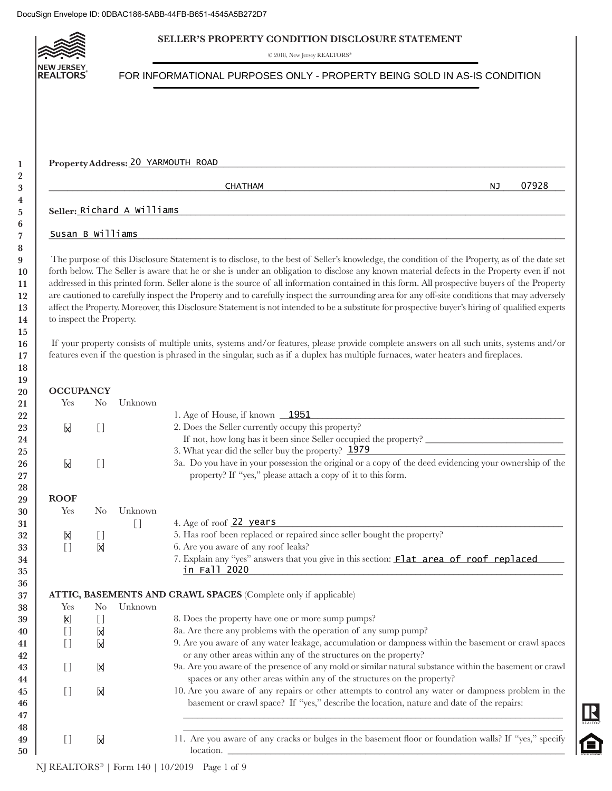## **SELLER'S PROPERTY CONDITION DISCLOSURE STATEMENT**

 $\odot$  2018, New Jersey REALTORS\*



|                          |                |                            | Property Address: 20 YARMOUTH ROAD                                                                                                                                                                                                                                                                                                                                                                                                                                                                                                                                                                                                                                                                                                                                                                                                                                                                                                                                                                                             |
|--------------------------|----------------|----------------------------|--------------------------------------------------------------------------------------------------------------------------------------------------------------------------------------------------------------------------------------------------------------------------------------------------------------------------------------------------------------------------------------------------------------------------------------------------------------------------------------------------------------------------------------------------------------------------------------------------------------------------------------------------------------------------------------------------------------------------------------------------------------------------------------------------------------------------------------------------------------------------------------------------------------------------------------------------------------------------------------------------------------------------------|
|                          |                |                            | 07928<br><b>CHATHAM</b><br>ΝJ                                                                                                                                                                                                                                                                                                                                                                                                                                                                                                                                                                                                                                                                                                                                                                                                                                                                                                                                                                                                  |
|                          |                | Seller: Richard A Williams |                                                                                                                                                                                                                                                                                                                                                                                                                                                                                                                                                                                                                                                                                                                                                                                                                                                                                                                                                                                                                                |
| Susan B Williams         |                |                            |                                                                                                                                                                                                                                                                                                                                                                                                                                                                                                                                                                                                                                                                                                                                                                                                                                                                                                                                                                                                                                |
| to inspect the Property. |                |                            | The purpose of this Disclosure Statement is to disclose, to the best of Seller's knowledge, the condition of the Property, as of the date set<br>forth below. The Seller is aware that he or she is under an obligation to disclose any known material defects in the Property even if not<br>addressed in this printed form. Seller alone is the source of all information contained in this form. All prospective buyers of the Property<br>are cautioned to carefully inspect the Property and to carefully inspect the surrounding area for any off-site conditions that may adversely<br>affect the Property. Moreover, this Disclosure Statement is not intended to be a substitute for prospective buyer's hiring of qualified experts<br>If your property consists of multiple units, systems and/or features, please provide complete answers on all such units, systems and/or<br>features even if the question is phrased in the singular, such as if a duplex has multiple furnaces, water heaters and fireplaces. |
| <b>OCCUPANCY</b>         |                |                            |                                                                                                                                                                                                                                                                                                                                                                                                                                                                                                                                                                                                                                                                                                                                                                                                                                                                                                                                                                                                                                |
| Yes                      | N <sub>0</sub> | Unknown                    |                                                                                                                                                                                                                                                                                                                                                                                                                                                                                                                                                                                                                                                                                                                                                                                                                                                                                                                                                                                                                                |
| M                        | $[ \ ]$        |                            | 1. Age of House, if known 1951<br>2. Does the Seller currently occupy this property?<br>If not, how long has it been since Seller occupied the property?                                                                                                                                                                                                                                                                                                                                                                                                                                                                                                                                                                                                                                                                                                                                                                                                                                                                       |
| M                        | $[ \ ]$        |                            | 3. What year did the seller buy the property? 1979<br>3a. Do you have in your possession the original or a copy of the deed evidencing your ownership of the<br>property? If "yes," please attach a copy of it to this form.                                                                                                                                                                                                                                                                                                                                                                                                                                                                                                                                                                                                                                                                                                                                                                                                   |
| <b>ROOF</b>              |                |                            |                                                                                                                                                                                                                                                                                                                                                                                                                                                                                                                                                                                                                                                                                                                                                                                                                                                                                                                                                                                                                                |
| Yes                      | N <sub>0</sub> | Unknown                    |                                                                                                                                                                                                                                                                                                                                                                                                                                                                                                                                                                                                                                                                                                                                                                                                                                                                                                                                                                                                                                |
|                          |                | $[ \ ]$                    | 4. Age of roof 22 years                                                                                                                                                                                                                                                                                                                                                                                                                                                                                                                                                                                                                                                                                                                                                                                                                                                                                                                                                                                                        |
| X<br>$[ \ ]$             | I)<br>X        |                            | 5. Has roof been replaced or repaired since seller bought the property?<br>6. Are you aware of any roof leaks?                                                                                                                                                                                                                                                                                                                                                                                                                                                                                                                                                                                                                                                                                                                                                                                                                                                                                                                 |
|                          |                |                            | 7. Explain any "yes" answers that you give in this section: Flat area of roof replaced<br>in Fall 2020                                                                                                                                                                                                                                                                                                                                                                                                                                                                                                                                                                                                                                                                                                                                                                                                                                                                                                                         |
|                          |                |                            | ATTIC, BASEMENTS AND CRAWL SPACES (Complete only if applicable)                                                                                                                                                                                                                                                                                                                                                                                                                                                                                                                                                                                                                                                                                                                                                                                                                                                                                                                                                                |
| Yes                      | N <sub>o</sub> | Unknown                    |                                                                                                                                                                                                                                                                                                                                                                                                                                                                                                                                                                                                                                                                                                                                                                                                                                                                                                                                                                                                                                |
| X)                       | I)             |                            | 8. Does the property have one or more sump pumps?                                                                                                                                                                                                                                                                                                                                                                                                                                                                                                                                                                                                                                                                                                                                                                                                                                                                                                                                                                              |
|                          | X              |                            | 8a. Are there any problems with the operation of any sump pump?                                                                                                                                                                                                                                                                                                                                                                                                                                                                                                                                                                                                                                                                                                                                                                                                                                                                                                                                                                |
| H                        | M              |                            | 9. Are you aware of any water leakage, accumulation or dampness within the basement or crawl spaces                                                                                                                                                                                                                                                                                                                                                                                                                                                                                                                                                                                                                                                                                                                                                                                                                                                                                                                            |
|                          | X              |                            | or any other areas within any of the structures on the property?<br>9a. Are you aware of the presence of any mold or similar natural substance within the basement or crawl<br>spaces or any other areas within any of the structures on the property?                                                                                                                                                                                                                                                                                                                                                                                                                                                                                                                                                                                                                                                                                                                                                                         |
| $[$                      |                |                            | 10. Are you aware of any repairs or other attempts to control any water or dampness problem in the<br>basement or crawl space? If "yes," describe the location, nature and date of the repairs:                                                                                                                                                                                                                                                                                                                                                                                                                                                                                                                                                                                                                                                                                                                                                                                                                                |
| $[ \ ]$                  | X              |                            |                                                                                                                                                                                                                                                                                                                                                                                                                                                                                                                                                                                                                                                                                                                                                                                                                                                                                                                                                                                                                                |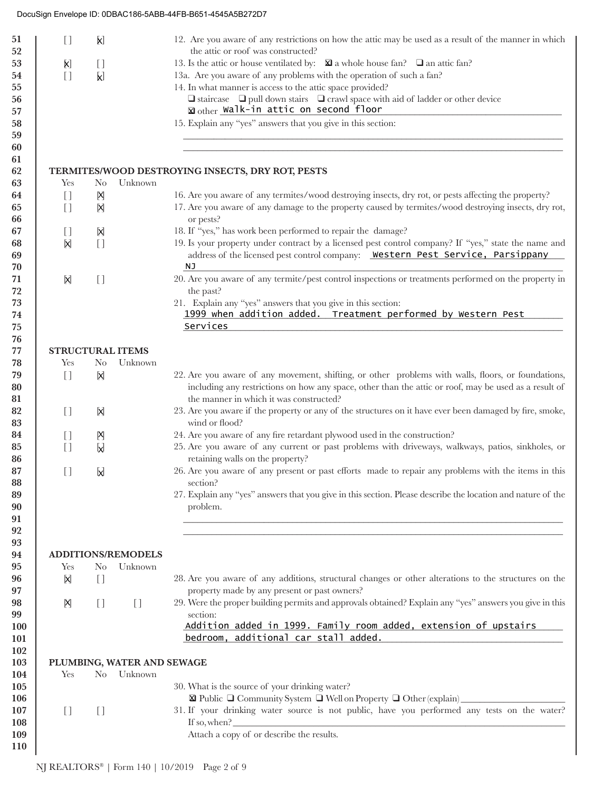| $\begin{array}{c} \square \end{array}$         | K)                                |                                   | 12. Are you aware of any restrictions on how the attic may be used as a result of the manner in which                                                        |
|------------------------------------------------|-----------------------------------|-----------------------------------|--------------------------------------------------------------------------------------------------------------------------------------------------------------|
|                                                |                                   |                                   | the attic or roof was constructed?                                                                                                                           |
| $\left[\!\!\left[\mathsf{X}\right]\!\!\right]$ | $[ \ ]$                           |                                   | 13. Is the attic or house ventilated by: $\boxtimes$ a whole house fan? $\Box$ an attic fan?                                                                 |
| $\begin{bmatrix} 1 \end{bmatrix}$              | $\mathsf{X}$                      |                                   | 13a. Are you aware of any problems with the operation of such a fan?                                                                                         |
|                                                |                                   |                                   | 14. In what manner is access to the attic space provided?                                                                                                    |
|                                                |                                   |                                   | $\Box$ staircase $\Box$ pull down stairs $\Box$ crawl space with aid of ladder or other device                                                               |
|                                                |                                   |                                   | Mother Walk-in attic on second floor                                                                                                                         |
|                                                |                                   |                                   | 15. Explain any "yes" answers that you give in this section:                                                                                                 |
|                                                |                                   |                                   |                                                                                                                                                              |
|                                                |                                   |                                   |                                                                                                                                                              |
|                                                |                                   |                                   |                                                                                                                                                              |
|                                                |                                   |                                   | TERMITES/WOOD DESTROYING INSECTS, DRY ROT, PESTS                                                                                                             |
| Yes                                            | N <sub>0</sub>                    | Unknown                           |                                                                                                                                                              |
| $\begin{bmatrix} 1 \end{bmatrix}$              | Ŋ                                 |                                   | 16. Are you aware of any termites/wood destroying insects, dry rot, or pests affecting the property?                                                         |
| $\begin{bmatrix} 1 \end{bmatrix}$              | X                                 |                                   | 17. Are you aware of any damage to the property caused by termites/wood destroying insects, dry rot,                                                         |
|                                                |                                   |                                   | or pests?                                                                                                                                                    |
| $[ \ ]$                                        | X                                 |                                   | 18. If "yes," has work been performed to repair the damage?                                                                                                  |
| X                                              | $[ \ ]$                           |                                   | 19. Is your property under contract by a licensed pest control company? If "yes," state the name and                                                         |
|                                                |                                   |                                   | address of the licensed pest control company: Western Pest Service, Parsippany                                                                               |
|                                                |                                   |                                   | NJ                                                                                                                                                           |
| X                                              | $[ \ ]$                           |                                   | 20. Are you aware of any termite/pest control inspections or treatments performed on the property in                                                         |
|                                                |                                   |                                   | the past?                                                                                                                                                    |
|                                                |                                   |                                   | 21. Explain any "yes" answers that you give in this section:                                                                                                 |
|                                                |                                   |                                   | 1999 when addition added. Treatment performed by Western Pest                                                                                                |
|                                                |                                   |                                   | Services                                                                                                                                                     |
|                                                |                                   |                                   |                                                                                                                                                              |
| <b>STRUCTURAL ITEMS</b>                        |                                   |                                   |                                                                                                                                                              |
| Yes                                            | N <sub>0</sub>                    | Unknown                           |                                                                                                                                                              |
| $[$                                            | 冈                                 |                                   | 22. Are you aware of any movement, shifting, or other problems with walls, floors, or foundations,                                                           |
|                                                |                                   |                                   | including any restrictions on how any space, other than the attic or roof, may be used as a result of                                                        |
|                                                |                                   |                                   | the manner in which it was constructed?                                                                                                                      |
| $[$                                            | 冈                                 |                                   | 23. Are you aware if the property or any of the structures on it have ever been damaged by fire, smoke,                                                      |
|                                                |                                   |                                   | wind or flood?                                                                                                                                               |
| $\begin{array}{c} \square \end{array}$         | Ŋ                                 |                                   | 24. Are you aware of any fire retardant plywood used in the construction?                                                                                    |
| $[$                                            | M                                 |                                   | 25. Are you aware of any current or past problems with driveways, walkways, patios, sinkholes, or                                                            |
|                                                |                                   |                                   | retaining walls on the property?                                                                                                                             |
| $[$                                            | <b>N</b>                          |                                   | 26. Are you aware of any present or past efforts made to repair any problems with the items in this<br>section?                                              |
|                                                |                                   |                                   | 27. Explain any "yes" answers that you give in this section. Please describe the location and nature of the                                                  |
|                                                |                                   |                                   | problem.                                                                                                                                                     |
|                                                |                                   |                                   |                                                                                                                                                              |
|                                                |                                   |                                   |                                                                                                                                                              |
|                                                |                                   |                                   |                                                                                                                                                              |
|                                                |                                   | <b>ADDITIONS/REMODELS</b>         |                                                                                                                                                              |
| Yes                                            | N <sub>0</sub>                    | Unknown                           |                                                                                                                                                              |
| X                                              | $[ \ ]$                           |                                   | 28. Are you aware of any additions, structural changes or other alterations to the structures on the                                                         |
|                                                |                                   |                                   | property made by any present or past owners?                                                                                                                 |
| Ŋ                                              | $\begin{bmatrix} 1 \end{bmatrix}$ | $\begin{bmatrix} 1 \end{bmatrix}$ | 29. Were the proper building permits and approvals obtained? Explain any "yes" answers you give in this                                                      |
|                                                |                                   |                                   | section:                                                                                                                                                     |
|                                                |                                   |                                   | Addition added in 1999. Family room added, extension of upstairs                                                                                             |
|                                                |                                   |                                   | bedroom, additional car stall added.<br><u> 1989 - Johann Stein, mars an deutscher Stein und der Stein und der Stein und der Stein und der Stein und der</u> |
|                                                |                                   |                                   |                                                                                                                                                              |
|                                                |                                   | PLUMBING, WATER AND SEWAGE        |                                                                                                                                                              |
| Yes                                            | N <sub>o</sub>                    | Unknown                           |                                                                                                                                                              |
|                                                |                                   |                                   | 30. What is the source of your drinking water?                                                                                                               |
|                                                |                                   |                                   |                                                                                                                                                              |
| $[$                                            | $[ \ ]$                           |                                   | 31. If your drinking water source is not public, have you performed any tests on the water?                                                                  |
|                                                |                                   |                                   | If so, when?                                                                                                                                                 |
|                                                |                                   |                                   |                                                                                                                                                              |
|                                                |                                   |                                   | Attach a copy of or describe the results.                                                                                                                    |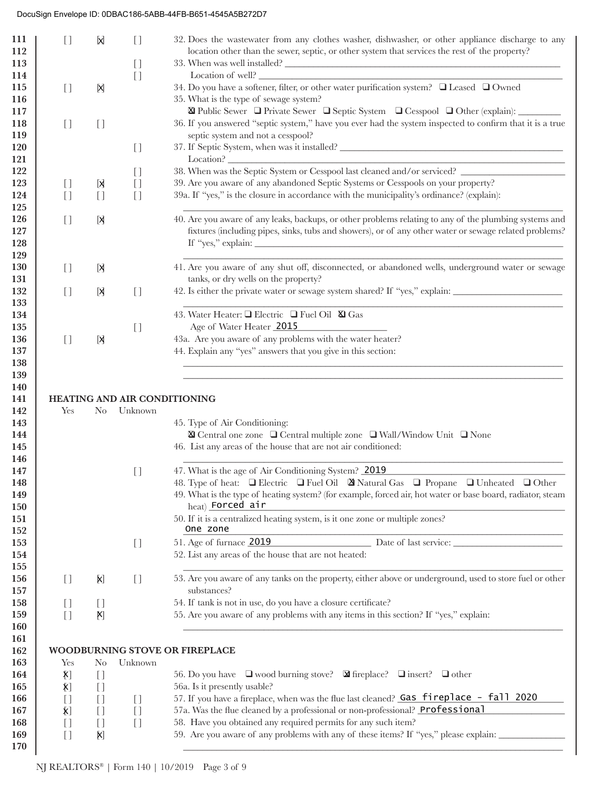| 111<br>112        | $[ \ ]$                                       | <b>X</b>                                     | $[ \ ]$                                           | 32. Does the wastewater from any clothes washer, dishwasher, or other appliance discharge to any<br>location other than the sewer, septic, or other system that services the rest of the property? |
|-------------------|-----------------------------------------------|----------------------------------------------|---------------------------------------------------|----------------------------------------------------------------------------------------------------------------------------------------------------------------------------------------------------|
| 113               |                                               |                                              | $[ \ ]$                                           |                                                                                                                                                                                                    |
| 114               |                                               |                                              | $[ \ ]$                                           |                                                                                                                                                                                                    |
| 115<br>116        | $[ \ ]$                                       | X                                            |                                                   | 34. Do you have a softener, filter, or other water purification system? □ Leased □ Owned<br>35. What is the type of sewage system?                                                                 |
| 117               |                                               |                                              |                                                   | $\boxtimes$ Public Sewer $\Box$ Private Sewer $\Box$ Septic System $\Box$ Cesspool $\Box$ Other (explain):                                                                                         |
| 118               | $[$                                           | $\begin{array}{c} \square \end{array}$       |                                                   | 36. If you answered "septic system," have you ever had the system inspected to confirm that it is a true                                                                                           |
| 119               |                                               |                                              |                                                   | septic system and not a cesspool?                                                                                                                                                                  |
| 120               |                                               |                                              | $[ \ ]$                                           |                                                                                                                                                                                                    |
| 121<br>122        |                                               |                                              |                                                   | 38. When was the Septic System or Cesspool last cleaned and/or serviced? ___________________________                                                                                               |
| 123               | $[ \ ]$                                       | X                                            | $\begin{array}{c} \square \end{array}$<br>$[ \ ]$ | 39. Are you aware of any abandoned Septic Systems or Cesspools on your property?                                                                                                                   |
| 124               | $[$                                           | $[ \ ]$                                      | $[ \ ]$                                           | 39a. If "yes," is the closure in accordance with the municipality's ordinance? (explain):                                                                                                          |
| 125               |                                               |                                              |                                                   |                                                                                                                                                                                                    |
| 126               | $[$                                           | X                                            |                                                   | 40. Are you aware of any leaks, backups, or other problems relating to any of the plumbing systems and                                                                                             |
| 127               |                                               |                                              |                                                   | fixtures (including pipes, sinks, tubs and showers), or of any other water or sewage related problems?                                                                                             |
| 128               |                                               |                                              |                                                   |                                                                                                                                                                                                    |
| 129               |                                               |                                              |                                                   |                                                                                                                                                                                                    |
| 130               | $[ \ ]$                                       | X                                            |                                                   | 41. Are you aware of any shut off, disconnected, or abandoned wells, underground water or sewage                                                                                                   |
| 131               |                                               |                                              |                                                   | tanks, or dry wells on the property?                                                                                                                                                               |
| 132               | $[$                                           | X                                            | $\begin{array}{c} \square \end{array}$            | 42. Is either the private water or sewage system shared? If "yes," explain: ________________________                                                                                               |
| 133               |                                               |                                              |                                                   |                                                                                                                                                                                                    |
| 134               |                                               |                                              |                                                   | 43. Water Heater: □ Electric □ Fuel Oil ⊠ Gas<br>Age of Water Heater 2015                                                                                                                          |
| 135<br>136        | $[ \ ]$                                       |                                              | $[ \ ]$                                           | 43a. Are you aware of any problems with the water heater?                                                                                                                                          |
| 137               |                                               | [X                                           |                                                   | 44. Explain any "yes" answers that you give in this section:                                                                                                                                       |
| 138               |                                               |                                              |                                                   |                                                                                                                                                                                                    |
| 140<br>141<br>142 | Yes                                           | No.                                          | Unknown                                           | HEATING AND AIR CONDITIONING                                                                                                                                                                       |
| 143               |                                               |                                              |                                                   | 45. Type of Air Conditioning:                                                                                                                                                                      |
| 144               |                                               |                                              |                                                   | $\label{eq:nonlinear} \textbf{W} \gets \text{Central one zone} \quad \textbf{W} \gets \text{Wall/Window Unit} \quad \textbf{W} \gets \text{None}$                                                  |
| 145<br>146        |                                               |                                              |                                                   | 46. List any areas of the house that are not air conditioned:                                                                                                                                      |
| 147               |                                               |                                              | $\begin{array}{c} \square \end{array}$            | 47. What is the age of Air Conditioning System? 2019                                                                                                                                               |
| 148               |                                               |                                              |                                                   | 48. Type of heat: $\Box$ Electric $\Box$ Fuel Oil $\Box$ Natural Gas $\Box$ Propane $\Box$ Unheated $\Box$ Other                                                                                   |
| 149<br>150        |                                               |                                              |                                                   | 49. What is the type of heating system? (for example, forced air, hot water or base board, radiator, steam<br>heat) Forced air                                                                     |
| 151<br>152        |                                               |                                              |                                                   | 50. If it is a centralized heating system, is it one zone or multiple zones?<br>One zone                                                                                                           |
| 153               |                                               |                                              | $\begin{array}{c} \square \end{array}$            | 51. Age of furnace 2019<br>Date of last service:                                                                                                                                                   |
| 154               |                                               |                                              |                                                   | 52. List any areas of the house that are not heated:                                                                                                                                               |
| 155               |                                               |                                              |                                                   |                                                                                                                                                                                                    |
| 156               | $\begin{array}{c} \square \end{array}$        | X)                                           | $\begin{bmatrix} 1 \end{bmatrix}$                 | 53. Are you aware of any tanks on the property, either above or underground, used to store fuel or other                                                                                           |
| 157<br>158        |                                               |                                              |                                                   | substances?                                                                                                                                                                                        |
| 159               | $\begin{array}{c} \square \end{array}$<br>$[$ | $\begin{array}{c} \square \end{array}$<br>X) |                                                   | 54. If tank is not in use, do you have a closure certificate?<br>55. Are you aware of any problems with any items in this section? If "yes," explain:                                              |
| 160               |                                               |                                              |                                                   |                                                                                                                                                                                                    |
| 161               |                                               |                                              |                                                   |                                                                                                                                                                                                    |
| 162               |                                               |                                              |                                                   | WOODBURNING STOVE OR FIREPLACE                                                                                                                                                                     |
| 163               | Yes                                           | N <sub>0</sub>                               | Unknown                                           |                                                                                                                                                                                                    |
| 164               | $\mathbf{X}$                                  | $\begin{array}{c} \square \end{array}$       |                                                   | 56. Do you have $\Box$ wood burning stove? $\Box$ fireplace? $\Box$ insert? $\Box$ other                                                                                                           |
| 165               | $\bm{\mathsf{X}}]$                            | $[ \ ]$                                      |                                                   | 56a. Is it presently usable?                                                                                                                                                                       |
| 166               |                                               |                                              |                                                   | 57. If you have a fireplace, when was the flue last cleaned? Gas fireplace - fall 2020                                                                                                             |
|                   | $[ \ ]$                                       | $\begin{array}{c} \square \end{array}$       | $\begin{array}{c} \square \end{array}$            |                                                                                                                                                                                                    |
| 167               | $\bm{\mathsf{X}}]$                            | $\begin{bmatrix} 1 \end{bmatrix}$            | $[ \ ]$                                           | 57a. Was the flue cleaned by a professional or non-professional? Professional                                                                                                                      |
| 168               | $[ \ ]$                                       | $\begin{array}{c} \square \end{array}$       | $[ \ ]$                                           | 58. Have you obtained any required permits for any such item?                                                                                                                                      |
| 169<br>170        | $[ \ ]$                                       | X)                                           |                                                   | 59. Are you aware of any problems with any of these items? If "yes," please explain: _______________                                                                                               |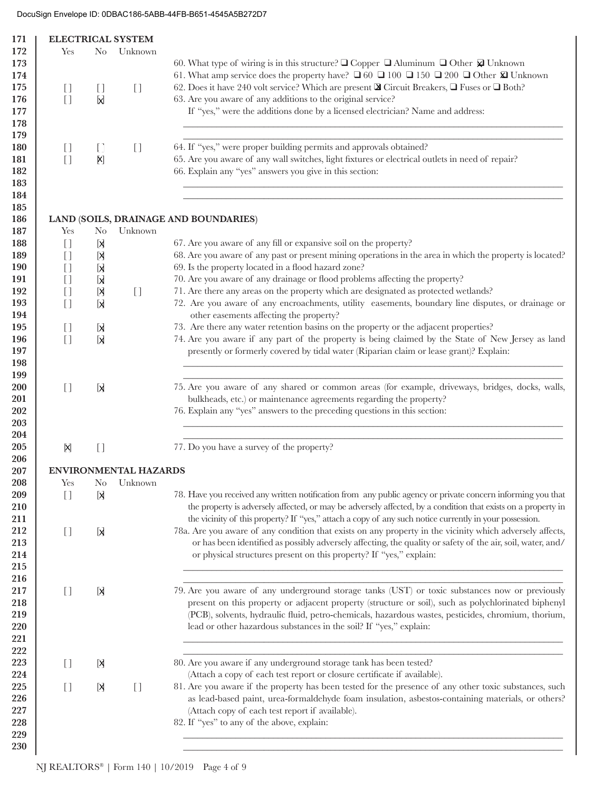|                                        |                                          | <b>ELECTRICAL SYSTEM</b>                   |                                                                                                                       |
|----------------------------------------|------------------------------------------|--------------------------------------------|-----------------------------------------------------------------------------------------------------------------------|
| Yes                                    | $\rm No$                                 | Unknown                                    |                                                                                                                       |
|                                        |                                          |                                            | 60. What type of wiring is in this structure? $\square$ Copper $\square$ Aluminum $\square$ Other $\square$ Unknown   |
|                                        |                                          |                                            | 61. What amp service does the property have? $\Box$ 60 $\Box$ 100 $\Box$ 150 $\Box$ 200 $\Box$ Other $\Omega$ Unknown |
| $\begin{bmatrix} 1 \end{bmatrix}$      | $\begin{array}{c} \square \end{array}$   | $\begin{bmatrix} 1 \end{bmatrix}$          | 62. Does it have 240 volt service? Which are present $\mathbb Q$ Circuit Breakers, $\Box$ Fuses or $\Box$ Both?       |
| $[ \ ]$                                | X                                        |                                            | 63. Are you aware of any additions to the original service?                                                           |
|                                        |                                          |                                            |                                                                                                                       |
|                                        |                                          |                                            | If "yes," were the additions done by a licensed electrician? Name and address:                                        |
|                                        |                                          |                                            |                                                                                                                       |
| $\begin{bmatrix} 1 \end{bmatrix}$      | $\begin{array}{c} \boxed{1} \end{array}$ | $[ \ ]$                                    | 64. If "yes," were proper building permits and approvals obtained?                                                    |
| $[$                                    | $\mathsf{X}]$                            |                                            | 65. Are you aware of any wall switches, light fixtures or electrical outlets in need of repair?                       |
|                                        |                                          |                                            | 66. Explain any "yes" answers you give in this section:                                                               |
|                                        |                                          |                                            | LAND (SOILS, DRAINAGE AND BOUNDARIES)                                                                                 |
| Yes                                    | N <sub>o</sub>                           | Unknown                                    |                                                                                                                       |
| $[$                                    | [X                                       |                                            | 67. Are you aware of any fill or expansive soil on the property?                                                      |
| $\begin{array}{c} \square \end{array}$ | [X                                       |                                            | 68. Are you aware of any past or present mining operations in the area in which the property is located?              |
|                                        |                                          |                                            | 69. Is the property located in a flood hazard zone?                                                                   |
| $[ \ ]$                                | X                                        |                                            |                                                                                                                       |
| $[ \ ]$                                | <b>X</b>                                 |                                            | 70. Are you aware of any drainage or flood problems affecting the property?                                           |
| $[ \ ]$                                | X                                        | $[ \ ]$                                    | 71. Are there any areas on the property which are designated as protected wetlands?                                   |
| $\begin{array}{c} \square \end{array}$ | X                                        |                                            | 72. Are you aware of any encroachments, utility easements, boundary line disputes, or drainage or                     |
|                                        |                                          |                                            | other easements affecting the property?                                                                               |
| $[ \ ]$                                | X                                        |                                            | 73. Are there any water retention basins on the property or the adjacent properties?                                  |
| $[$                                    | X                                        |                                            | 74. Are you aware if any part of the property is being claimed by the State of New Jersey as land                     |
|                                        |                                          |                                            | presently or formerly covered by tidal water (Riparian claim or lease grant)? Explain:                                |
|                                        |                                          |                                            |                                                                                                                       |
|                                        |                                          |                                            |                                                                                                                       |
| $[$                                    | Ы                                        |                                            | 75. Are you aware of any shared or common areas (for example, driveways, bridges, docks, walls,                       |
|                                        |                                          |                                            | bulkheads, etc.) or maintenance agreements regarding the property?                                                    |
|                                        |                                          |                                            | 76. Explain any "yes" answers to the preceding questions in this section:                                             |
| X                                      | $[ \ ]$                                  |                                            | 77. Do you have a survey of the property?                                                                             |
|                                        |                                          |                                            |                                                                                                                       |
| Yes                                    |                                          | <b>ENVIRONMENTAL HAZARDS</b><br>No Unknown |                                                                                                                       |
| $[ \ ]$                                | X                                        |                                            | 78. Have you received any written notification from any public agency or private concern informing you that           |
|                                        |                                          |                                            | the property is adversely affected, or may be adversely affected, by a condition that exists on a property in         |
|                                        |                                          |                                            | the vicinity of this property? If "yes," attach a copy of any such notice currently in your possession.               |
|                                        |                                          |                                            |                                                                                                                       |
| $[$                                    | X                                        |                                            | 78a. Are you aware of any condition that exists on any property in the vicinity which adversely affects,              |
|                                        |                                          |                                            | or has been identified as possibly adversely affecting, the quality or safety of the air, soil, water, and/           |
|                                        |                                          |                                            | or physical structures present on this property? If "yes," explain:                                                   |
|                                        |                                          |                                            |                                                                                                                       |
|                                        |                                          |                                            |                                                                                                                       |
| $[$                                    | X                                        |                                            | 79. Are you aware of any underground storage tanks (UST) or toxic substances now or previously                        |
|                                        |                                          |                                            | present on this property or adjacent property (structure or soil), such as polychlorinated biphenyl                   |
|                                        |                                          |                                            | (PCB), solvents, hydraulic fluid, petro-chemicals, hazardous wastes, pesticides, chromium, thorium,                   |
|                                        |                                          |                                            | lead or other hazardous substances in the soil? If "yes," explain:                                                    |
|                                        |                                          |                                            |                                                                                                                       |
|                                        |                                          |                                            |                                                                                                                       |
|                                        |                                          |                                            |                                                                                                                       |
| $[$                                    | X                                        |                                            | 80. Are you aware if any underground storage tank has been tested?                                                    |
|                                        |                                          |                                            | (Attach a copy of each test report or closure certificate if available).                                              |
| $[ \ ]$                                | [X                                       | $[ \ ]$                                    | 81. Are you aware if the property has been tested for the presence of any other toxic substances, such                |
|                                        |                                          |                                            | as lead-based paint, urea-formaldehyde foam insulation, asbestos-containing materials, or others?                     |
|                                        |                                          |                                            | (Attach copy of each test report if available).                                                                       |
|                                        |                                          |                                            | 82. If "yes" to any of the above, explain:                                                                            |
|                                        |                                          |                                            |                                                                                                                       |
|                                        |                                          |                                            |                                                                                                                       |
|                                        |                                          |                                            |                                                                                                                       |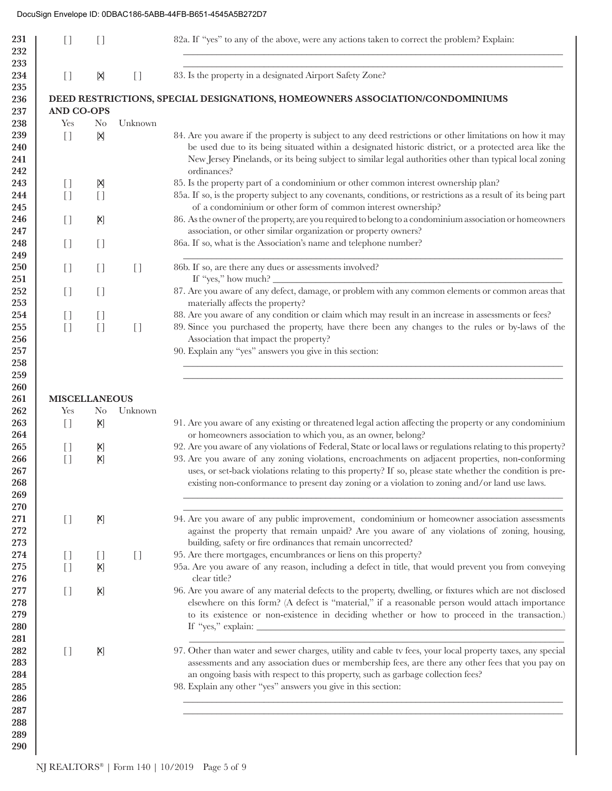## DocuSign Envelope ID: 0DBAC186-5ABB-44FB-B651-4545A5B272D7

| 231<br>232<br>233        | $[ \ ]$                                | []                                     |                                        | 82a. If "yes" to any of the above, were any actions taken to correct the problem? Explain:                                                                                                                                                                                                                     |
|--------------------------|----------------------------------------|----------------------------------------|----------------------------------------|----------------------------------------------------------------------------------------------------------------------------------------------------------------------------------------------------------------------------------------------------------------------------------------------------------------|
| 234                      | $\begin{bmatrix} 1 \end{bmatrix}$      | X                                      | $\begin{array}{c} \square \end{array}$ | 83. Is the property in a designated Airport Safety Zone?                                                                                                                                                                                                                                                       |
| 235<br>236               |                                        |                                        |                                        | DEED RESTRICTIONS, SPECIAL DESIGNATIONS, HOMEOWNERS ASSOCIATION/CONDOMINIUMS                                                                                                                                                                                                                                   |
| 237                      | <b>AND CO-OPS</b>                      |                                        |                                        |                                                                                                                                                                                                                                                                                                                |
| 238                      | Yes                                    | N <sub>0</sub>                         | Unknown                                |                                                                                                                                                                                                                                                                                                                |
| 239                      | $\begin{bmatrix} 1 \end{bmatrix}$      | X                                      |                                        | 84. Are you aware if the property is subject to any deed restrictions or other limitations on how it may                                                                                                                                                                                                       |
| 240<br>241               |                                        |                                        |                                        | be used due to its being situated within a designated historic district, or a protected area like the<br>New Jersey Pinelands, or its being subject to similar legal authorities other than typical local zoning                                                                                               |
| 242                      |                                        |                                        |                                        | ordinances?                                                                                                                                                                                                                                                                                                    |
| 243                      | $\begin{bmatrix} 1 \end{bmatrix}$      | Ŋ                                      |                                        | 85. Is the property part of a condominium or other common interest ownership plan?                                                                                                                                                                                                                             |
| 244<br>245               | $[ \ ]$                                | $[ \ ]$                                |                                        | 85a. If so, is the property subject to any covenants, conditions, or restrictions as a result of its being part<br>of a condominium or other form of common interest ownership?                                                                                                                                |
| 246<br>247               | $\begin{bmatrix} 1 \end{bmatrix}$      | X)                                     |                                        | 86. As the owner of the property, are you required to belong to a condominium association or homeowners<br>association, or other similar organization or property owners?                                                                                                                                      |
| 248                      | $\begin{bmatrix} 1 \end{bmatrix}$      | $[ \ ]$                                |                                        | 86a. If so, what is the Association's name and telephone number?                                                                                                                                                                                                                                               |
| 249                      |                                        |                                        |                                        |                                                                                                                                                                                                                                                                                                                |
| 250<br>251               | $\begin{bmatrix} 1 \end{bmatrix}$      | $[ \ ]$                                | $[$                                    | 86b. If so, are there any dues or assessments involved?<br>If "yes," how much? $\overline{\phantom{a}}$                                                                                                                                                                                                        |
| 252<br>253               | $[$                                    | $\begin{array}{c} \square \end{array}$ |                                        | 87. Are you aware of any defect, damage, or problem with any common elements or common areas that<br>materially affects the property?                                                                                                                                                                          |
| 254                      | $\begin{array}{c} \square \end{array}$ | []                                     |                                        | 88. Are you aware of any condition or claim which may result in an increase in assessments or fees?                                                                                                                                                                                                            |
| 255                      | $\begin{bmatrix} 1 \end{bmatrix}$      | $[ \ ]$                                | $[$                                    | 89. Since you purchased the property, have there been any changes to the rules or by-laws of the                                                                                                                                                                                                               |
| 256                      |                                        |                                        |                                        | Association that impact the property?                                                                                                                                                                                                                                                                          |
| 257                      |                                        |                                        |                                        | 90. Explain any "yes" answers you give in this section:                                                                                                                                                                                                                                                        |
| 258<br>259               |                                        |                                        |                                        |                                                                                                                                                                                                                                                                                                                |
| 260                      |                                        |                                        |                                        |                                                                                                                                                                                                                                                                                                                |
| 261                      | <b>MISCELLANEOUS</b>                   |                                        |                                        |                                                                                                                                                                                                                                                                                                                |
| 262                      | Yes                                    | N <sub>0</sub>                         | Unknown                                |                                                                                                                                                                                                                                                                                                                |
| 263<br>264               | $\begin{bmatrix} 1 \end{bmatrix}$      | X)                                     |                                        | 91. Are you aware of any existing or threatened legal action affecting the property or any condominium<br>or homeowners association to which you, as an owner, belong?                                                                                                                                         |
| 265                      | $\begin{array}{c} \square \end{array}$ | X)                                     |                                        | 92. Are you aware of any violations of Federal, State or local laws or regulations relating to this property?                                                                                                                                                                                                  |
| 266<br>267<br>268<br>269 | $[ \ ]$                                | X)                                     |                                        | 93. Are you aware of any zoning violations, encroachments on adjacent properties, non-conforming<br>uses, or set-back violations relating to this property? If so, please state whether the condition is pre-<br>existing non-conformance to present day zoning or a violation to zoning and/or land use laws. |
| 270                      |                                        |                                        |                                        |                                                                                                                                                                                                                                                                                                                |
| 271<br>272<br>273        | $\begin{bmatrix} 1 \end{bmatrix}$      | X)                                     |                                        | 94. Are you aware of any public improvement, condominium or homeowner association assessments<br>against the property that remain unpaid? Are you aware of any violations of zoning, housing,<br>building, safety or fire ordinances that remain uncorrected?                                                  |
| 274                      | $\begin{bmatrix} 1 \end{bmatrix}$      | $[ \ ]$                                | $\begin{bmatrix} 1 \end{bmatrix}$      | 95. Are there mortgages, encumbrances or liens on this property?                                                                                                                                                                                                                                               |
| 275<br>276               | $[ \ ]$                                | $\left[\mathsf{x}\right]$              |                                        | 95a. Are you aware of any reason, including a defect in title, that would prevent you from conveying<br>clear title?                                                                                                                                                                                           |
| 277                      | $[$                                    | X)                                     |                                        | 96. Are you aware of any material defects to the property, dwelling, or fixtures which are not disclosed                                                                                                                                                                                                       |
| 278                      |                                        |                                        |                                        | elsewhere on this form? (A defect is "material," if a reasonable person would attach importance                                                                                                                                                                                                                |
| 279                      |                                        |                                        |                                        | to its existence or non-existence in deciding whether or how to proceed in the transaction.)                                                                                                                                                                                                                   |
| 280<br>281               |                                        |                                        |                                        |                                                                                                                                                                                                                                                                                                                |
| 282                      | $\begin{bmatrix} 1 \end{bmatrix}$      | X)                                     |                                        | 97. Other than water and sewer charges, utility and cable tv fees, your local property taxes, any special                                                                                                                                                                                                      |
| 283                      |                                        |                                        |                                        | assessments and any association dues or membership fees, are there any other fees that you pay on                                                                                                                                                                                                              |
| 284                      |                                        |                                        |                                        | an ongoing basis with respect to this property, such as garbage collection fees?                                                                                                                                                                                                                               |
| 285                      |                                        |                                        |                                        | 98. Explain any other "yes" answers you give in this section:                                                                                                                                                                                                                                                  |
| 286                      |                                        |                                        |                                        |                                                                                                                                                                                                                                                                                                                |
| 287<br>288               |                                        |                                        |                                        |                                                                                                                                                                                                                                                                                                                |
| 289                      |                                        |                                        |                                        |                                                                                                                                                                                                                                                                                                                |
| 290                      |                                        |                                        |                                        |                                                                                                                                                                                                                                                                                                                |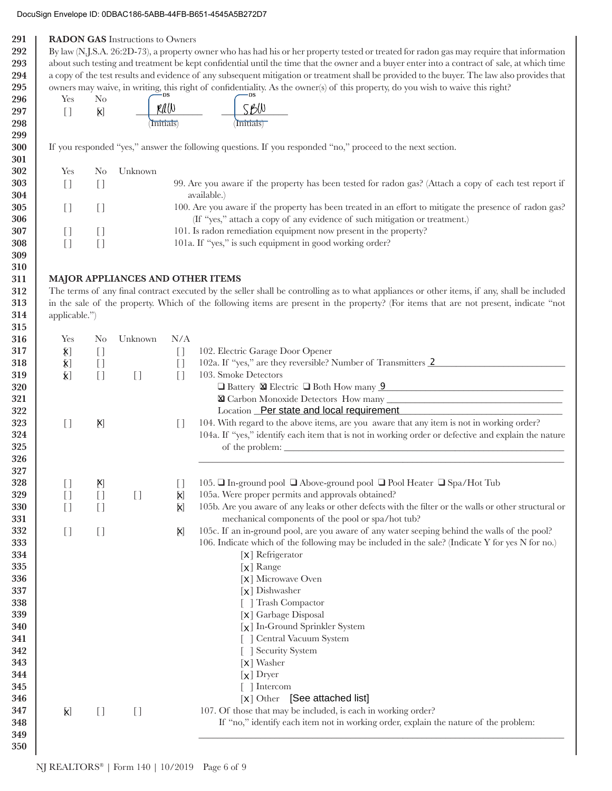## DocuSign Envelope ID: 0DBAC186-5ABB-44FB-B651-4545A5B272D7

| 291<br>292 |                                        |                                               | <b>RADON GAS</b> Instructions to Owners |                                             | By law (N.J.S.A. 26:2D-73), a property owner who has had his or her property tested or treated for radon gas may require that information                                             |  |  |
|------------|----------------------------------------|-----------------------------------------------|-----------------------------------------|---------------------------------------------|---------------------------------------------------------------------------------------------------------------------------------------------------------------------------------------|--|--|
| 293        |                                        |                                               |                                         |                                             | about such testing and treatment be kept confidential until the time that the owner and a buyer enter into a contract of sale, at which time                                          |  |  |
| 294        |                                        |                                               |                                         |                                             | a copy of the test results and evidence of any subsequent mitigation or treatment shall be provided to the buyer. The law also provides that                                          |  |  |
| 295        |                                        |                                               |                                         |                                             | owners may waive, in writing, this right of confidentiality. As the owner(s) of this property, do you wish to waive this right?                                                       |  |  |
| 296        | Yes                                    | N <sub>o</sub>                                |                                         |                                             |                                                                                                                                                                                       |  |  |
| 297        | $\begin{bmatrix} 1 \end{bmatrix}$      | X)                                            |                                         | $\frac{\cancel{r}(\beta)}{\text{Initials}}$ | $\frac{\mathcal{S}\mathcal{B}}{\mathcal{B}}$ Initials)                                                                                                                                |  |  |
| 298        |                                        |                                               |                                         |                                             |                                                                                                                                                                                       |  |  |
| 299        |                                        |                                               |                                         |                                             |                                                                                                                                                                                       |  |  |
| 300<br>301 |                                        |                                               |                                         |                                             | If you responded "yes," answer the following questions. If you responded "no," proceed to the next section.                                                                           |  |  |
| 302        | Yes                                    | N <sub>0</sub>                                | Unknown                                 |                                             |                                                                                                                                                                                       |  |  |
| 303<br>304 | $[$                                    | $[ \ ]$                                       |                                         |                                             | 99. Are you aware if the property has been tested for radon gas? (Attach a copy of each test report if<br>available.)                                                                 |  |  |
| 305<br>306 | $\begin{bmatrix} 1 \end{bmatrix}$      | $[ \ ]$                                       |                                         |                                             | 100. Are you aware if the property has been treated in an effort to mitigate the presence of radon gas?<br>(If "yes," attach a copy of any evidence of such mitigation or treatment.) |  |  |
| 307        | $[$                                    | $[ \ ]$                                       |                                         |                                             | 101. Is radon remediation equipment now present in the property?                                                                                                                      |  |  |
| 308        | $[$                                    | $[$                                           |                                         |                                             | 101a. If "yes," is such equipment in good working order?                                                                                                                              |  |  |
| 309        |                                        |                                               |                                         |                                             |                                                                                                                                                                                       |  |  |
| 310        |                                        |                                               |                                         |                                             |                                                                                                                                                                                       |  |  |
| 311        |                                        |                                               | <b>MAJOR APPLIANCES AND OTHER ITEMS</b> |                                             |                                                                                                                                                                                       |  |  |
| 312        |                                        |                                               |                                         |                                             | The terms of any final contract executed by the seller shall be controlling as to what appliances or other items, if any, shall be included                                           |  |  |
| 313        |                                        |                                               |                                         |                                             | in the sale of the property. Which of the following items are present in the property? (For items that are not present, indicate "not                                                 |  |  |
| 314        | applicable.")                          |                                               |                                         |                                             |                                                                                                                                                                                       |  |  |
| 315        |                                        |                                               |                                         |                                             |                                                                                                                                                                                       |  |  |
| 316        | Yes                                    | N <sub>o</sub>                                | Unknown                                 | N/A                                         |                                                                                                                                                                                       |  |  |
| 317        | $\mathbf{X}$                           | $[ \ ]$                                       |                                         | $\begin{bmatrix} 1 \end{bmatrix}$           | 102. Electric Garage Door Opener                                                                                                                                                      |  |  |
| 318        | $\bm{\mathsf{X}}]$                     | $[ \ ]$                                       |                                         | $\begin{array}{c} \square \end{array}$      | 102a. If "yes," are they reversible? Number of Transmitters 2                                                                                                                         |  |  |
| 319        | $\mathbf{k}$                           | $[ \ ]$                                       | $\begin{bmatrix} 1 \end{bmatrix}$       | $[$                                         | 103. Smoke Detectors                                                                                                                                                                  |  |  |
| 320        |                                        |                                               |                                         |                                             | <b>O</b> Battery <b>&amp;</b> Electric <b>O</b> Both How many <b>9</b>                                                                                                                |  |  |
| 321        |                                        |                                               |                                         |                                             |                                                                                                                                                                                       |  |  |
| 322        |                                        |                                               |                                         |                                             | Location Per state and local requirement                                                                                                                                              |  |  |
| 323        | $[$                                    | X)                                            |                                         | $\begin{array}{c} \square \end{array}$      | 104. With regard to the above items, are you aware that any item is not in working order?                                                                                             |  |  |
| 324        |                                        |                                               |                                         |                                             | 104a. If "yes," identify each item that is not in working order or defective and explain the nature                                                                                   |  |  |
| 325        |                                        |                                               |                                         |                                             |                                                                                                                                                                                       |  |  |
| 326        |                                        |                                               |                                         |                                             |                                                                                                                                                                                       |  |  |
| 327<br>328 |                                        |                                               |                                         |                                             |                                                                                                                                                                                       |  |  |
| 329        | $[ \ ]$                                | X)                                            |                                         | $\begin{bmatrix} 1 \end{bmatrix}$           | 105. □ In-ground pool □ Above-ground pool □ Pool Heater □ Spa/Hot Tub                                                                                                                 |  |  |
| 330        | $[ \ ]$                                | $[ \ ]$                                       | $\begin{array}{c} \square \end{array}$  | X)                                          | 105a. Were proper permits and approvals obtained?<br>105b. Are you aware of any leaks or other defects with the filter or the walls or other structural or                            |  |  |
| 331        | $[ \ ]$                                | $\left[\begin{array}{c} 1 \end{array}\right]$ |                                         | X)                                          | mechanical components of the pool or spa/hot tub?                                                                                                                                     |  |  |
| 332        | $\begin{array}{c} \square \end{array}$ | $\begin{bmatrix} 1 \end{bmatrix}$             |                                         | X)                                          | 105c. If an in-ground pool, are you aware of any water seeping behind the walls of the pool?                                                                                          |  |  |
| 333        |                                        |                                               |                                         |                                             | 106. Indicate which of the following may be included in the sale? (Indicate Y for yes N for no.)                                                                                      |  |  |
| 334        |                                        |                                               |                                         |                                             | $\left[\mathsf{x}\right]$ Refrigerator                                                                                                                                                |  |  |
| 335<br>336 |                                        |                                               |                                         |                                             | $[x]$ Range<br>[X] Microwave Oven                                                                                                                                                     |  |  |
| 337        |                                        |                                               |                                         |                                             | $\left[\chi\right]$ Dishwasher                                                                                                                                                        |  |  |
| 338        |                                        |                                               |                                         |                                             | [ ] Trash Compactor                                                                                                                                                                   |  |  |
| 339        |                                        |                                               |                                         |                                             | [X] Garbage Disposal                                                                                                                                                                  |  |  |
| 340        |                                        |                                               |                                         |                                             | [x] In-Ground Sprinkler System                                                                                                                                                        |  |  |
| 341        |                                        |                                               |                                         |                                             | [] Central Vacuum System                                                                                                                                                              |  |  |
| 342        |                                        |                                               |                                         |                                             | [ ] Security System                                                                                                                                                                   |  |  |
| 343        |                                        |                                               |                                         |                                             | $\left[\mathsf{x}\right]$ Washer                                                                                                                                                      |  |  |
| 344        |                                        |                                               |                                         |                                             | $[x]$ Dryer                                                                                                                                                                           |  |  |
| 345        |                                        |                                               |                                         |                                             | $\lceil \ \rceil$ Intercom                                                                                                                                                            |  |  |
| 346        |                                        |                                               |                                         |                                             | [x] Other [See attached list]                                                                                                                                                         |  |  |
| 347        | <b>K</b>                               | $[ \ ]$                                       | $\begin{array}{c} \square \end{array}$  |                                             | 107. Of those that may be included, is each in working order?                                                                                                                         |  |  |
| 348        |                                        |                                               |                                         |                                             | If "no," identify each item not in working order, explain the nature of the problem:                                                                                                  |  |  |
| 349        |                                        |                                               |                                         |                                             |                                                                                                                                                                                       |  |  |
| 350        |                                        |                                               |                                         |                                             |                                                                                                                                                                                       |  |  |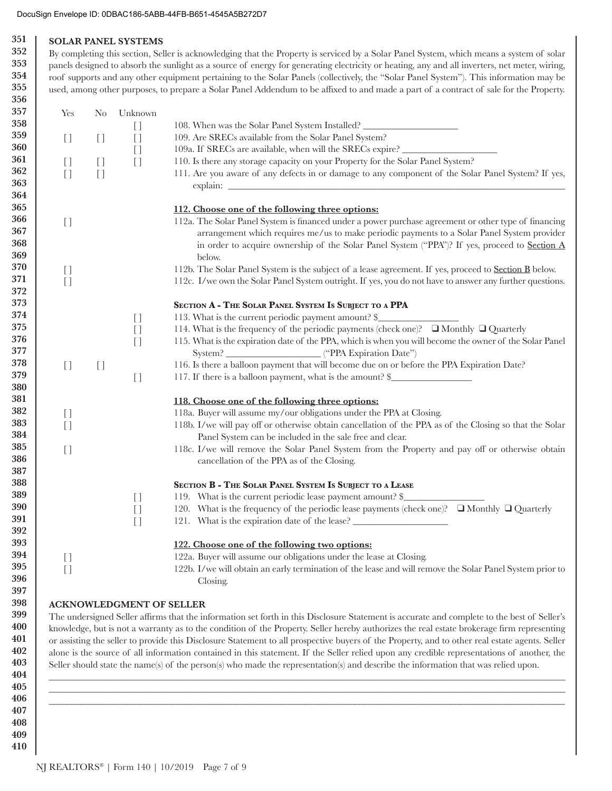### DocuSign Envelope ID: 0DBAC186-5ABB-44FB-B651-4545A5B272D7

#### 351 **SOLAR PANEL SYSTEMS** 352

353

354

355

By completing this section, Seller is acknowledging that the Property is serviced by a Solar Panel System, which means a system of solar panels designed to absorb the sunlight as a source of energy for generating electricity or heating, any and all inverters, net meter, wiring, roof supports and any other equipment pertaining to the Solar Panels (collectively, the "Solar Panel System"). This information may be used, among other purposes, to prepare a Solar Panel Addendum to be affixed to and made a part of a contract of sale for the Property.

| 108. When was the Solar Panel System Installed?<br>$[$<br>109. Are SRECs available from the Solar Panel System?<br>$\begin{bmatrix} 1 \end{bmatrix}$<br>$[$<br>$[ \ ]$<br>109a. If SRECs are available, when will the SRECs expire?<br>$[$<br>110. Is there any storage capacity on your Property for the Solar Panel System?<br>$[$<br>$[$<br>$[$<br>111. Are you aware of any defects in or damage to any component of the Solar Panel System? If yes,<br>$[$<br>$\begin{array}{c} \square \end{array}$<br>112. Choose one of the following three options:<br>112a. The Solar Panel System is financed under a power purchase agreement or other type of financing<br>$\begin{bmatrix} 1 \end{bmatrix}$<br>arrangement which requires me/us to make periodic payments to a Solar Panel System provider<br>in order to acquire ownership of the Solar Panel System ("PPA")? If yes, proceed to Section A<br>below.<br>112b. The Solar Panel System is the subject of a lease agreement. If yes, proceed to <b>Section B</b> below.<br>$\begin{bmatrix} 1 \end{bmatrix}$<br>$[$<br>112c. I/we own the Solar Panel System outright. If yes, you do not have to answer any further questions.<br>SECTION A - THE SOLAR PANEL SYSTEM IS SUBJECT TO A PPA<br>113. What is the current periodic payment amount? \$<br>$\begin{array}{c} \square \end{array}$<br>114. What is the frequency of the periodic payments (check one)? ■ Monthly ■ Quarterly<br>$[ \ ]$<br>115. What is the expiration date of the PPA, which is when you will become the owner of the Solar Panel<br>$[ \ ]$<br>116. Is there a balloon payment that will become due on or before the PPA Expiration Date?<br>$[ \ ]$<br>$\begin{bmatrix} 1 \end{bmatrix}$<br>117. If there is a balloon payment, what is the amount? \$<br>$[ \ ]$<br>118. Choose one of the following three options:<br>118a. Buyer will assume my/our obligations under the PPA at Closing.<br>$\begin{array}{c} \square \end{array}$<br>118b. I/we will pay off or otherwise obtain cancellation of the PPA as of the Closing so that the Solar<br>$[ \ ]$<br>Panel System can be included in the sale free and clear.<br>118c. I/we will remove the Solar Panel System from the Property and pay off or otherwise obtain<br>$[ \ ]$<br>cancellation of the PPA as of the Closing.<br>SECTION B - THE SOLAR PANEL SYSTEM IS SUBJECT TO A LEASE |
|------------------------------------------------------------------------------------------------------------------------------------------------------------------------------------------------------------------------------------------------------------------------------------------------------------------------------------------------------------------------------------------------------------------------------------------------------------------------------------------------------------------------------------------------------------------------------------------------------------------------------------------------------------------------------------------------------------------------------------------------------------------------------------------------------------------------------------------------------------------------------------------------------------------------------------------------------------------------------------------------------------------------------------------------------------------------------------------------------------------------------------------------------------------------------------------------------------------------------------------------------------------------------------------------------------------------------------------------------------------------------------------------------------------------------------------------------------------------------------------------------------------------------------------------------------------------------------------------------------------------------------------------------------------------------------------------------------------------------------------------------------------------------------------------------------------------------------------------------------------------------------------------------------------------------------------------------------------------------------------------------------------------------------------------------------------------------------------------------------------------------------------------------------------------------------------------------------------------------------------------------------------------------------------------------------------------------------------------------------------------------------------|
|                                                                                                                                                                                                                                                                                                                                                                                                                                                                                                                                                                                                                                                                                                                                                                                                                                                                                                                                                                                                                                                                                                                                                                                                                                                                                                                                                                                                                                                                                                                                                                                                                                                                                                                                                                                                                                                                                                                                                                                                                                                                                                                                                                                                                                                                                                                                                                                          |
|                                                                                                                                                                                                                                                                                                                                                                                                                                                                                                                                                                                                                                                                                                                                                                                                                                                                                                                                                                                                                                                                                                                                                                                                                                                                                                                                                                                                                                                                                                                                                                                                                                                                                                                                                                                                                                                                                                                                                                                                                                                                                                                                                                                                                                                                                                                                                                                          |
|                                                                                                                                                                                                                                                                                                                                                                                                                                                                                                                                                                                                                                                                                                                                                                                                                                                                                                                                                                                                                                                                                                                                                                                                                                                                                                                                                                                                                                                                                                                                                                                                                                                                                                                                                                                                                                                                                                                                                                                                                                                                                                                                                                                                                                                                                                                                                                                          |
|                                                                                                                                                                                                                                                                                                                                                                                                                                                                                                                                                                                                                                                                                                                                                                                                                                                                                                                                                                                                                                                                                                                                                                                                                                                                                                                                                                                                                                                                                                                                                                                                                                                                                                                                                                                                                                                                                                                                                                                                                                                                                                                                                                                                                                                                                                                                                                                          |
|                                                                                                                                                                                                                                                                                                                                                                                                                                                                                                                                                                                                                                                                                                                                                                                                                                                                                                                                                                                                                                                                                                                                                                                                                                                                                                                                                                                                                                                                                                                                                                                                                                                                                                                                                                                                                                                                                                                                                                                                                                                                                                                                                                                                                                                                                                                                                                                          |
|                                                                                                                                                                                                                                                                                                                                                                                                                                                                                                                                                                                                                                                                                                                                                                                                                                                                                                                                                                                                                                                                                                                                                                                                                                                                                                                                                                                                                                                                                                                                                                                                                                                                                                                                                                                                                                                                                                                                                                                                                                                                                                                                                                                                                                                                                                                                                                                          |
|                                                                                                                                                                                                                                                                                                                                                                                                                                                                                                                                                                                                                                                                                                                                                                                                                                                                                                                                                                                                                                                                                                                                                                                                                                                                                                                                                                                                                                                                                                                                                                                                                                                                                                                                                                                                                                                                                                                                                                                                                                                                                                                                                                                                                                                                                                                                                                                          |
|                                                                                                                                                                                                                                                                                                                                                                                                                                                                                                                                                                                                                                                                                                                                                                                                                                                                                                                                                                                                                                                                                                                                                                                                                                                                                                                                                                                                                                                                                                                                                                                                                                                                                                                                                                                                                                                                                                                                                                                                                                                                                                                                                                                                                                                                                                                                                                                          |
|                                                                                                                                                                                                                                                                                                                                                                                                                                                                                                                                                                                                                                                                                                                                                                                                                                                                                                                                                                                                                                                                                                                                                                                                                                                                                                                                                                                                                                                                                                                                                                                                                                                                                                                                                                                                                                                                                                                                                                                                                                                                                                                                                                                                                                                                                                                                                                                          |
|                                                                                                                                                                                                                                                                                                                                                                                                                                                                                                                                                                                                                                                                                                                                                                                                                                                                                                                                                                                                                                                                                                                                                                                                                                                                                                                                                                                                                                                                                                                                                                                                                                                                                                                                                                                                                                                                                                                                                                                                                                                                                                                                                                                                                                                                                                                                                                                          |
|                                                                                                                                                                                                                                                                                                                                                                                                                                                                                                                                                                                                                                                                                                                                                                                                                                                                                                                                                                                                                                                                                                                                                                                                                                                                                                                                                                                                                                                                                                                                                                                                                                                                                                                                                                                                                                                                                                                                                                                                                                                                                                                                                                                                                                                                                                                                                                                          |
|                                                                                                                                                                                                                                                                                                                                                                                                                                                                                                                                                                                                                                                                                                                                                                                                                                                                                                                                                                                                                                                                                                                                                                                                                                                                                                                                                                                                                                                                                                                                                                                                                                                                                                                                                                                                                                                                                                                                                                                                                                                                                                                                                                                                                                                                                                                                                                                          |
|                                                                                                                                                                                                                                                                                                                                                                                                                                                                                                                                                                                                                                                                                                                                                                                                                                                                                                                                                                                                                                                                                                                                                                                                                                                                                                                                                                                                                                                                                                                                                                                                                                                                                                                                                                                                                                                                                                                                                                                                                                                                                                                                                                                                                                                                                                                                                                                          |
|                                                                                                                                                                                                                                                                                                                                                                                                                                                                                                                                                                                                                                                                                                                                                                                                                                                                                                                                                                                                                                                                                                                                                                                                                                                                                                                                                                                                                                                                                                                                                                                                                                                                                                                                                                                                                                                                                                                                                                                                                                                                                                                                                                                                                                                                                                                                                                                          |
|                                                                                                                                                                                                                                                                                                                                                                                                                                                                                                                                                                                                                                                                                                                                                                                                                                                                                                                                                                                                                                                                                                                                                                                                                                                                                                                                                                                                                                                                                                                                                                                                                                                                                                                                                                                                                                                                                                                                                                                                                                                                                                                                                                                                                                                                                                                                                                                          |
|                                                                                                                                                                                                                                                                                                                                                                                                                                                                                                                                                                                                                                                                                                                                                                                                                                                                                                                                                                                                                                                                                                                                                                                                                                                                                                                                                                                                                                                                                                                                                                                                                                                                                                                                                                                                                                                                                                                                                                                                                                                                                                                                                                                                                                                                                                                                                                                          |
|                                                                                                                                                                                                                                                                                                                                                                                                                                                                                                                                                                                                                                                                                                                                                                                                                                                                                                                                                                                                                                                                                                                                                                                                                                                                                                                                                                                                                                                                                                                                                                                                                                                                                                                                                                                                                                                                                                                                                                                                                                                                                                                                                                                                                                                                                                                                                                                          |
|                                                                                                                                                                                                                                                                                                                                                                                                                                                                                                                                                                                                                                                                                                                                                                                                                                                                                                                                                                                                                                                                                                                                                                                                                                                                                                                                                                                                                                                                                                                                                                                                                                                                                                                                                                                                                                                                                                                                                                                                                                                                                                                                                                                                                                                                                                                                                                                          |
|                                                                                                                                                                                                                                                                                                                                                                                                                                                                                                                                                                                                                                                                                                                                                                                                                                                                                                                                                                                                                                                                                                                                                                                                                                                                                                                                                                                                                                                                                                                                                                                                                                                                                                                                                                                                                                                                                                                                                                                                                                                                                                                                                                                                                                                                                                                                                                                          |
|                                                                                                                                                                                                                                                                                                                                                                                                                                                                                                                                                                                                                                                                                                                                                                                                                                                                                                                                                                                                                                                                                                                                                                                                                                                                                                                                                                                                                                                                                                                                                                                                                                                                                                                                                                                                                                                                                                                                                                                                                                                                                                                                                                                                                                                                                                                                                                                          |
|                                                                                                                                                                                                                                                                                                                                                                                                                                                                                                                                                                                                                                                                                                                                                                                                                                                                                                                                                                                                                                                                                                                                                                                                                                                                                                                                                                                                                                                                                                                                                                                                                                                                                                                                                                                                                                                                                                                                                                                                                                                                                                                                                                                                                                                                                                                                                                                          |
|                                                                                                                                                                                                                                                                                                                                                                                                                                                                                                                                                                                                                                                                                                                                                                                                                                                                                                                                                                                                                                                                                                                                                                                                                                                                                                                                                                                                                                                                                                                                                                                                                                                                                                                                                                                                                                                                                                                                                                                                                                                                                                                                                                                                                                                                                                                                                                                          |
|                                                                                                                                                                                                                                                                                                                                                                                                                                                                                                                                                                                                                                                                                                                                                                                                                                                                                                                                                                                                                                                                                                                                                                                                                                                                                                                                                                                                                                                                                                                                                                                                                                                                                                                                                                                                                                                                                                                                                                                                                                                                                                                                                                                                                                                                                                                                                                                          |
|                                                                                                                                                                                                                                                                                                                                                                                                                                                                                                                                                                                                                                                                                                                                                                                                                                                                                                                                                                                                                                                                                                                                                                                                                                                                                                                                                                                                                                                                                                                                                                                                                                                                                                                                                                                                                                                                                                                                                                                                                                                                                                                                                                                                                                                                                                                                                                                          |
|                                                                                                                                                                                                                                                                                                                                                                                                                                                                                                                                                                                                                                                                                                                                                                                                                                                                                                                                                                                                                                                                                                                                                                                                                                                                                                                                                                                                                                                                                                                                                                                                                                                                                                                                                                                                                                                                                                                                                                                                                                                                                                                                                                                                                                                                                                                                                                                          |
|                                                                                                                                                                                                                                                                                                                                                                                                                                                                                                                                                                                                                                                                                                                                                                                                                                                                                                                                                                                                                                                                                                                                                                                                                                                                                                                                                                                                                                                                                                                                                                                                                                                                                                                                                                                                                                                                                                                                                                                                                                                                                                                                                                                                                                                                                                                                                                                          |
|                                                                                                                                                                                                                                                                                                                                                                                                                                                                                                                                                                                                                                                                                                                                                                                                                                                                                                                                                                                                                                                                                                                                                                                                                                                                                                                                                                                                                                                                                                                                                                                                                                                                                                                                                                                                                                                                                                                                                                                                                                                                                                                                                                                                                                                                                                                                                                                          |
| 119. What is the current periodic lease payment amount? \$<br>$\begin{array}{c} \square \end{array}$                                                                                                                                                                                                                                                                                                                                                                                                                                                                                                                                                                                                                                                                                                                                                                                                                                                                                                                                                                                                                                                                                                                                                                                                                                                                                                                                                                                                                                                                                                                                                                                                                                                                                                                                                                                                                                                                                                                                                                                                                                                                                                                                                                                                                                                                                     |
| 120. What is the frequency of the periodic lease payments (check one)? $\Box$ Monthly $\Box$ Quarterly<br>$\begin{array}{c} \square \end{array}$                                                                                                                                                                                                                                                                                                                                                                                                                                                                                                                                                                                                                                                                                                                                                                                                                                                                                                                                                                                                                                                                                                                                                                                                                                                                                                                                                                                                                                                                                                                                                                                                                                                                                                                                                                                                                                                                                                                                                                                                                                                                                                                                                                                                                                         |
| 121. What is the expiration date of the lease? _________________________________<br>$[$                                                                                                                                                                                                                                                                                                                                                                                                                                                                                                                                                                                                                                                                                                                                                                                                                                                                                                                                                                                                                                                                                                                                                                                                                                                                                                                                                                                                                                                                                                                                                                                                                                                                                                                                                                                                                                                                                                                                                                                                                                                                                                                                                                                                                                                                                                  |
|                                                                                                                                                                                                                                                                                                                                                                                                                                                                                                                                                                                                                                                                                                                                                                                                                                                                                                                                                                                                                                                                                                                                                                                                                                                                                                                                                                                                                                                                                                                                                                                                                                                                                                                                                                                                                                                                                                                                                                                                                                                                                                                                                                                                                                                                                                                                                                                          |
|                                                                                                                                                                                                                                                                                                                                                                                                                                                                                                                                                                                                                                                                                                                                                                                                                                                                                                                                                                                                                                                                                                                                                                                                                                                                                                                                                                                                                                                                                                                                                                                                                                                                                                                                                                                                                                                                                                                                                                                                                                                                                                                                                                                                                                                                                                                                                                                          |
|                                                                                                                                                                                                                                                                                                                                                                                                                                                                                                                                                                                                                                                                                                                                                                                                                                                                                                                                                                                                                                                                                                                                                                                                                                                                                                                                                                                                                                                                                                                                                                                                                                                                                                                                                                                                                                                                                                                                                                                                                                                                                                                                                                                                                                                                                                                                                                                          |
|                                                                                                                                                                                                                                                                                                                                                                                                                                                                                                                                                                                                                                                                                                                                                                                                                                                                                                                                                                                                                                                                                                                                                                                                                                                                                                                                                                                                                                                                                                                                                                                                                                                                                                                                                                                                                                                                                                                                                                                                                                                                                                                                                                                                                                                                                                                                                                                          |
| 122. Choose one of the following two options:<br>122a. Buyer will assume our obligations under the lease at Closing.<br>$\begin{bmatrix} 1 \end{bmatrix}$<br>122b. I/we will obtain an early termination of the lease and will remove the Solar Panel System prior to<br>$\begin{array}{c} \square \end{array}$<br>Closing.                                                                                                                                                                                                                                                                                                                                                                                                                                                                                                                                                                                                                                                                                                                                                                                                                                                                                                                                                                                                                                                                                                                                                                                                                                                                                                                                                                                                                                                                                                                                                                                                                                                                                                                                                                                                                                                                                                                                                                                                                                                              |

410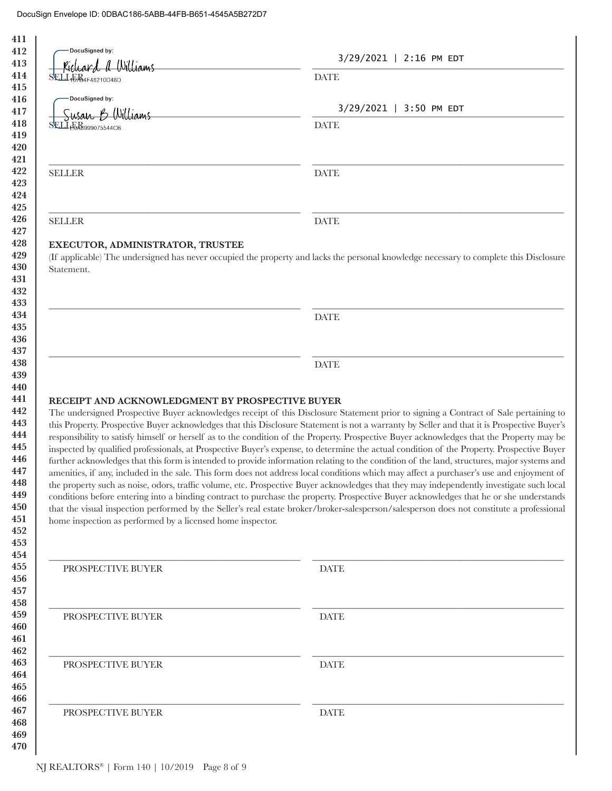| ard a Williams                                                                                                                     | 3/29/2021   2:16 PM EDT                                                                                                                                                                                                                                                                                                                                                                                                                                                                                                                                                                                                                                                                                                                                                                                                                                                                                                                                                                                                                                                                                                                                                                                                                                                                                                       |
|------------------------------------------------------------------------------------------------------------------------------------|-------------------------------------------------------------------------------------------------------------------------------------------------------------------------------------------------------------------------------------------------------------------------------------------------------------------------------------------------------------------------------------------------------------------------------------------------------------------------------------------------------------------------------------------------------------------------------------------------------------------------------------------------------------------------------------------------------------------------------------------------------------------------------------------------------------------------------------------------------------------------------------------------------------------------------------------------------------------------------------------------------------------------------------------------------------------------------------------------------------------------------------------------------------------------------------------------------------------------------------------------------------------------------------------------------------------------------|
| SELLABAF48210D48D                                                                                                                  | <b>DATE</b>                                                                                                                                                                                                                                                                                                                                                                                                                                                                                                                                                                                                                                                                                                                                                                                                                                                                                                                                                                                                                                                                                                                                                                                                                                                                                                                   |
| DocuSigned by:                                                                                                                     |                                                                                                                                                                                                                                                                                                                                                                                                                                                                                                                                                                                                                                                                                                                                                                                                                                                                                                                                                                                                                                                                                                                                                                                                                                                                                                                               |
| Susan B Williams                                                                                                                   | $3/29/2021$   3:50 PM EDT                                                                                                                                                                                                                                                                                                                                                                                                                                                                                                                                                                                                                                                                                                                                                                                                                                                                                                                                                                                                                                                                                                                                                                                                                                                                                                     |
| SELLE Re999075544CB                                                                                                                | <b>DATE</b>                                                                                                                                                                                                                                                                                                                                                                                                                                                                                                                                                                                                                                                                                                                                                                                                                                                                                                                                                                                                                                                                                                                                                                                                                                                                                                                   |
| <b>SELLER</b>                                                                                                                      | <b>DATE</b>                                                                                                                                                                                                                                                                                                                                                                                                                                                                                                                                                                                                                                                                                                                                                                                                                                                                                                                                                                                                                                                                                                                                                                                                                                                                                                                   |
| <b>SELLER</b>                                                                                                                      | <b>DATE</b>                                                                                                                                                                                                                                                                                                                                                                                                                                                                                                                                                                                                                                                                                                                                                                                                                                                                                                                                                                                                                                                                                                                                                                                                                                                                                                                   |
| Statement.                                                                                                                         | (If applicable) The undersigned has never occupied the property and lacks the personal knowledge necessary to complete this Disclosure                                                                                                                                                                                                                                                                                                                                                                                                                                                                                                                                                                                                                                                                                                                                                                                                                                                                                                                                                                                                                                                                                                                                                                                        |
|                                                                                                                                    | <b>DATE</b>                                                                                                                                                                                                                                                                                                                                                                                                                                                                                                                                                                                                                                                                                                                                                                                                                                                                                                                                                                                                                                                                                                                                                                                                                                                                                                                   |
|                                                                                                                                    |                                                                                                                                                                                                                                                                                                                                                                                                                                                                                                                                                                                                                                                                                                                                                                                                                                                                                                                                                                                                                                                                                                                                                                                                                                                                                                                               |
|                                                                                                                                    | <b>DATE</b>                                                                                                                                                                                                                                                                                                                                                                                                                                                                                                                                                                                                                                                                                                                                                                                                                                                                                                                                                                                                                                                                                                                                                                                                                                                                                                                   |
|                                                                                                                                    |                                                                                                                                                                                                                                                                                                                                                                                                                                                                                                                                                                                                                                                                                                                                                                                                                                                                                                                                                                                                                                                                                                                                                                                                                                                                                                                               |
| RECEIPT AND ACKNOWLEDGMENT BY PROSPECTIVE BUYER<br>home inspection as performed by a licensed home inspector.<br>PROSPECTIVE BUYER | The undersigned Prospective Buyer acknowledges receipt of this Disclosure Statement prior to signing a Contract of Sale pertaining to<br>this Property. Prospective Buyer acknowledges that this Disclosure Statement is not a warranty by Seller and that it is Prospective Buyer's<br>responsibility to satisfy himself or herself as to the condition of the Property. Prospective Buyer acknowledges that the Property may be<br>inspected by qualified professionals, at Prospective Buyer's expense, to determine the actual condition of the Property. Prospective Buyer<br>further acknowledges that this form is intended to provide information relating to the condition of the land, structures, major systems and<br>amenities, if any, included in the sale. This form does not address local conditions which may affect a purchaser's use and enjoyment of<br>the property such as noise, odors, traffic volume, etc. Prospective Buyer acknowledges that they may independently investigate such local<br>conditions before entering into a binding contract to purchase the property. Prospective Buyer acknowledges that he or she understands<br>that the visual inspection performed by the Seller's real estate broker/broker-salesperson/salesperson does not constitute a professional<br><b>DATE</b> |
| PROSPECTIVE BUYER                                                                                                                  | <b>DATE</b>                                                                                                                                                                                                                                                                                                                                                                                                                                                                                                                                                                                                                                                                                                                                                                                                                                                                                                                                                                                                                                                                                                                                                                                                                                                                                                                   |
| PROSPECTIVE BUYER                                                                                                                  | <b>DATE</b>                                                                                                                                                                                                                                                                                                                                                                                                                                                                                                                                                                                                                                                                                                                                                                                                                                                                                                                                                                                                                                                                                                                                                                                                                                                                                                                   |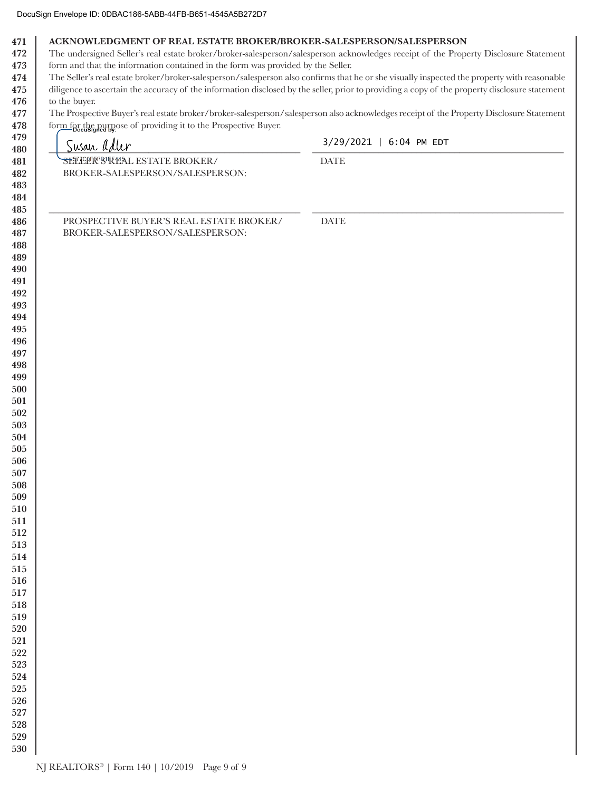472 The undersigned Seller's real estate broker/broker-salesperson/salesperson acknowledges receipt of the Property Disclosure Statement 473 form and that the information contained in the form was provided by the Seller.

The Seller's real estate broker/broker-salesperson/salesperson also confirms that he or she visually inspected the property with reasonable 474 475 diligence to ascertain the accuracy of the information disclosed by the seller, prior to providing a copy of the property disclosure statement

476 to the buyer. The Prospective Buyer's real estate broker/broker-salesperson/salesperson also acknowledges receipt of the Property Disclosure Statement 477

478 form for the purpose of providing it to the Prospective Buyer.

| $\sim$<br>$\frac{1}{2}$ Docusigned by: $\frac{1}{2}$ by: $\frac{1}{2}$ by $\frac{1}{2}$ by $\frac{1}{2}$ and $\frac{1}{2}$ by $\frac{1}{2}$ by:<br>Susan adler | 3/29/2021   6:04 PM EDT      |
|----------------------------------------------------------------------------------------------------------------------------------------------------------------|------------------------------|
| SETICLER STAL ESTATE BROKER/<br>BROKER-SALESPERSON/SALESPERSON:                                                                                                | $\ensuremath{\mathsf{DATE}}$ |
| PROSPECTIVE BUYER'S REAL ESTATE BROKER/<br>BROKER-SALESPERSON/SALESPERSON:                                                                                     | <b>DATE</b>                  |
|                                                                                                                                                                |                              |
|                                                                                                                                                                |                              |
|                                                                                                                                                                |                              |
|                                                                                                                                                                |                              |
|                                                                                                                                                                |                              |
|                                                                                                                                                                |                              |
|                                                                                                                                                                |                              |
|                                                                                                                                                                |                              |
|                                                                                                                                                                |                              |
|                                                                                                                                                                |                              |
|                                                                                                                                                                |                              |
|                                                                                                                                                                |                              |
|                                                                                                                                                                |                              |
|                                                                                                                                                                |                              |
|                                                                                                                                                                |                              |
|                                                                                                                                                                |                              |
|                                                                                                                                                                |                              |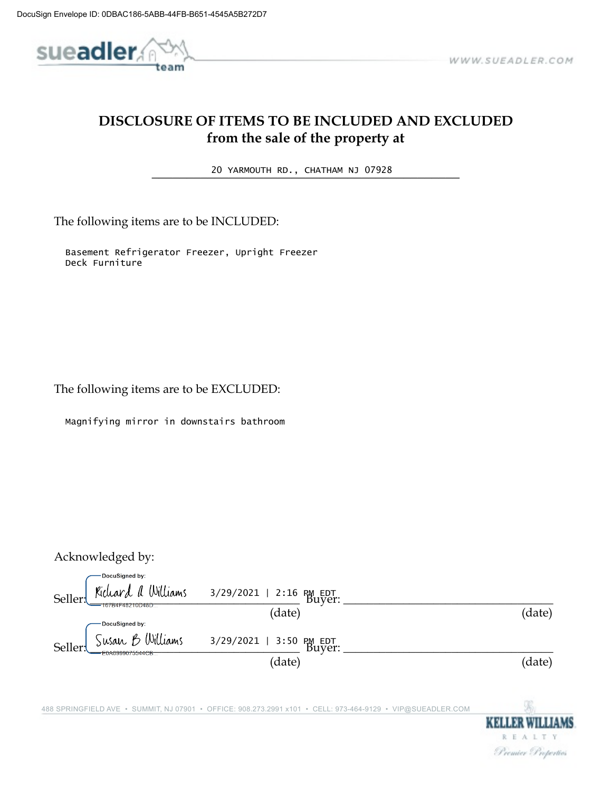

# DISCLOSURE OF ITEMS TO BE INCLUDED AND EXCLUDED from the sale of the property at

20 YARMOUTH RD., CHATHAM NJ 07928

The following items are to be INCLUDED:

Basement Refrigerator Freezer, Upright Freezer Deck Furniture

The following items are to be EXCLUDED:

Magnifying mirror in downstairs bathroom

Acknowledged by:

DocuSigned by: Richard a Williams  $3/29/2021$  | 2:16 PM EDT<br>Buyer: Seller: 167B4F48210D48D (date) (date) DocuSigned by: Susan B Williams 3/29/2021 | 3:50 PM EDT<br>Buyer: Seller E0A6999075544CB (date) (date)

488 SPRINGFIELD AVE · SUMMIT, NJ 07901 · OFFICE: 908.273.2991 x101 · CELL: 973-464-9129 · VIP@SUEADLER.COM